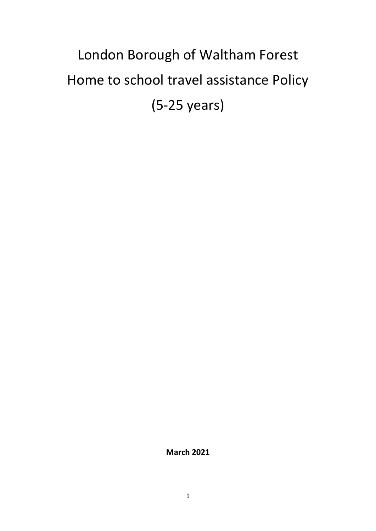# London Borough of Waltham Forest Home to school travel assistance Policy (5-25 years)

**March 2021**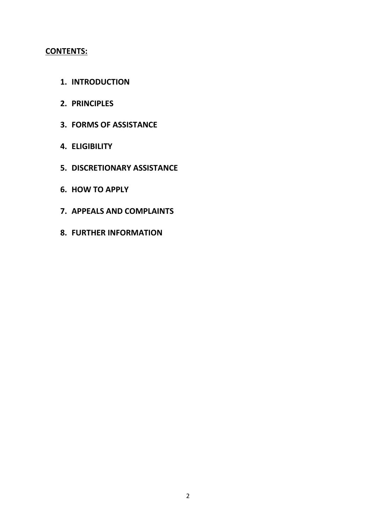# **CONTENTS:**

- **1. INTRODUCTION**
- **2. PRINCIPLES**
- **3. FORMS OF ASSISTANCE**
- **4. ELIGIBILITY**
- **5. DISCRETIONARY ASSISTANCE**
- **6. HOW TO APPLY**
- **7. APPEALS AND COMPLAINTS**
- **8. FURTHER INFORMATION**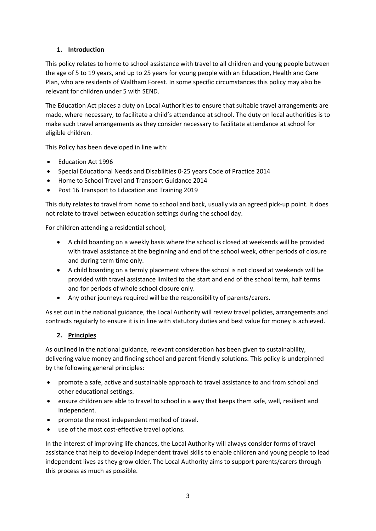# **1. Introduction**

This policy relates to home to school assistance with travel to all children and young people between the age of 5 to 19 years, and up to 25 years for young people with an Education, Health and Care Plan, who are residents of Waltham Forest. In some specific circumstances this policy may also be relevant for children under 5 with SEND.

The Education Act places a duty on Local Authorities to ensure that suitable travel arrangements are made, where necessary, to facilitate a child's attendance at school. The duty on local authorities is to make such travel arrangements as they consider necessary to facilitate attendance at school for eligible children.

This Policy has been developed in line with:

- Education Act 1996
- Special Educational Needs and Disabilities 0-25 years Code of Practice 2014
- Home to School Travel and Transport Guidance 2014
- Post 16 Transport to Education and Training 2019

This duty relates to travel from home to school and back, usually via an agreed pick-up point. It does not relate to travel between education settings during the school day.

For children attending a residential school;

- A child boarding on a weekly basis where the school is closed at weekends will be provided with travel assistance at the beginning and end of the school week, other periods of closure and during term time only.
- A child boarding on a termly placement where the school is not closed at weekends will be provided with travel assistance limited to the start and end of the school term, half terms and for periods of whole school closure only.
- Any other journeys required will be the responsibility of parents/carers.

As set out in the national guidance, the Local Authority will review travel policies, arrangements and contracts regularly to ensure it is in line with statutory duties and best value for money is achieved.

# **2. Principles**

As outlined in the national guidance, relevant consideration has been given to sustainability, delivering value money and finding school and parent friendly solutions. This policy is underpinned by the following general principles:

- promote a safe, active and sustainable approach to travel assistance to and from school and other educational settings.
- ensure children are able to travel to school in a way that keeps them safe, well, resilient and independent.
- promote the most independent method of travel.
- use of the most cost-effective travel options.

In the interest of improving life chances, the Local Authority will always consider forms of travel assistance that help to develop independent travel skills to enable children and young people to lead independent lives as they grow older. The Local Authority aims to support parents/carers through this process as much as possible.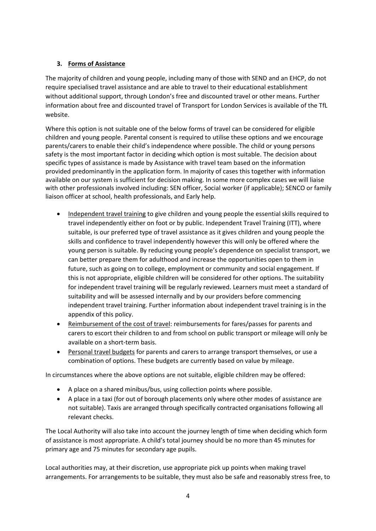# **3. Forms of Assistance**

The majority of children and young people, including many of those with SEND and an EHCP, do not require specialised travel assistance and are able to travel to their educational establishment without additional support, through London's free and discounted travel or other means. Further information about free and discounted travel of Transport for London Services is available of the TfL website.

Where this option is not suitable one of the below forms of travel can be considered for eligible children and young people. Parental consent is required to utilise these options and we encourage parents/carers to enable their child's independence where possible. The child or young persons safety is the most important factor in deciding which option is most suitable. The decision about specific types of assistance is made by Assistance with travel team based on the information provided predominantly in the application form. In majority of cases this together with information available on our system is sufficient for decision making. In some more complex cases we will liaise with other professionals involved including: SEN officer, Social worker (if applicable); SENCO or family liaison officer at school, health professionals, and Early help.

- Independent travel training to give children and young people the essential skills required to travel independently either on foot or by public. Independent Travel Training (ITT), where suitable, is our preferred type of travel assistance as it gives children and young people the skills and confidence to travel independently however this will only be offered where the young person is suitable. By reducing young people's dependence on specialist transport, we can better prepare them for adulthood and increase the opportunities open to them in future, such as going on to college, employment or community and social engagement. If this is not appropriate, eligible children will be considered for other options. The suitability for independent travel training will be regularly reviewed. Learners must meet a standard of suitability and will be assessed internally and by our providers before commencing independent travel training. Further information about independent travel training is in the appendix of this policy.
- Reimbursement of the cost of travel: reimbursements for fares/passes for parents and carers to escort their children to and from school on public transport or mileage will only be available on a short-term basis.
- Personal travel budgets for parents and carers to arrange transport themselves, or use a combination of options. These budgets are currently based on value by mileage.

In circumstances where the above options are not suitable, eligible children may be offered:

- A place on a shared minibus/bus, using collection points where possible.
- A place in a taxi (for out of borough placements only where other modes of assistance are not suitable). Taxis are arranged through specifically contracted organisations following all relevant checks.

The Local Authority will also take into account the journey length of time when deciding which form of assistance is most appropriate. A child's total journey should be no more than 45 minutes for primary age and 75 minutes for secondary age pupils.

Local authorities may, at their discretion, use appropriate pick up points when making travel arrangements. For arrangements to be suitable, they must also be safe and reasonably stress free, to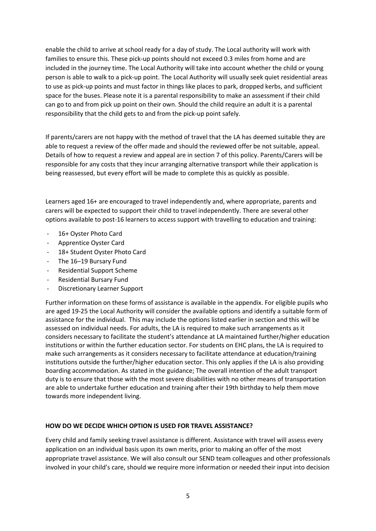enable the child to arrive at school ready for a day of study. The Local authority will work with families to ensure this. These pick-up points should not exceed 0.3 miles from home and are included in the journey time. The Local Authority will take into account whether the child or young person is able to walk to a pick-up point. The Local Authority will usually seek quiet residential areas to use as pick-up points and must factor in things like places to park, dropped kerbs, and sufficient space for the buses. Please note it is a parental responsibility to make an assessment if their child can go to and from pick up point on their own. Should the child require an adult it is a parental responsibility that the child gets to and from the pick-up point safely.

If parents/carers are not happy with the method of travel that the LA has deemed suitable they are able to request a review of the offer made and should the reviewed offer be not suitable, appeal. Details of how to request a review and appeal are in section 7 of this policy. Parents/Carers will be responsible for any costs that they incur arranging alternative transport while their application is being reassessed, but every effort will be made to complete this as quickly as possible.

Learners aged 16+ are encouraged to travel independently and, where appropriate, parents and carers will be expected to support their child to travel independently. There are several other options available to post-16 learners to access support with travelling to education and training:

- 16+ Ovster Photo Card
- Apprentice Oyster Card
- 18+ Student Oyster Photo Card
- The 16-19 Bursary Fund
- Residential Support Scheme
- Residential Bursary Fund
- Discretionary Learner Support

Further information on these forms of assistance is available in the appendix. For eligible pupils who are aged 19-25 the Local Authority will consider the available options and identify a suitable form of assistance for the individual. This may include the options listed earlier in section and this will be assessed on individual needs. For adults, the LA is required to make such arrangements as it considers necessary to facilitate the student's attendance at LA maintained further/higher education institutions or within the further education sector. For students on EHC plans, the LA is required to make such arrangements as it considers necessary to facilitate attendance at education/training institutions outside the further/higher education sector. This only applies if the LA is also providing boarding accommodation. As stated in the guidance; The overall intention of the adult transport duty is to ensure that those with the most severe disabilities with no other means of transportation are able to undertake further education and training after their 19th birthday to help them move towards more independent living.

#### **HOW DO WE DECIDE WHICH OPTION IS USED FOR TRAVEL ASSISTANCE?**

Every child and family seeking travel assistance is different. Assistance with travel will assess every application on an individual basis upon its own merits, prior to making an offer of the most appropriate travel assistance. We will also consult our SEND team colleagues and other professionals involved in your child's care, should we require more information or needed their input into decision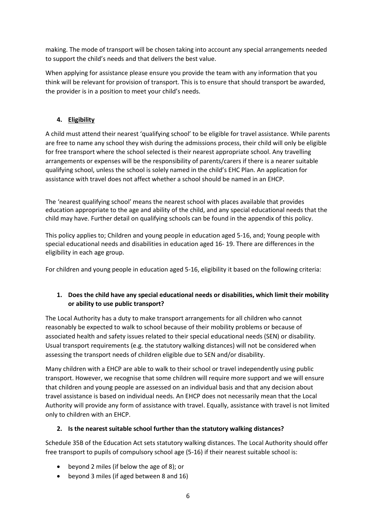making. The mode of transport will be chosen taking into account any special arrangements needed to support the child's needs and that delivers the best value.

When applying for assistance please ensure you provide the team with any information that you think will be relevant for provision of transport. This is to ensure that should transport be awarded, the provider is in a position to meet your child's needs.

# **4. Eligibility**

A child must attend their nearest 'qualifying school' to be eligible for travel assistance. While parents are free to name any school they wish during the admissions process, their child will only be eligible for free transport where the school selected is their nearest appropriate school. Any travelling arrangements or expenses will be the responsibility of parents/carers if there is a nearer suitable qualifying school, unless the school is solely named in the child's EHC Plan. An application for assistance with travel does not affect whether a school should be named in an EHCP.

The 'nearest qualifying school' means the nearest school with places available that provides education appropriate to the age and ability of the child, and any special educational needs that the child may have. Further detail on qualifying schools can be found in the appendix of this policy.

This policy applies to; Children and young people in education aged 5-16, and; Young people with special educational needs and disabilities in education aged 16- 19. There are differences in the eligibility in each age group.

For children and young people in education aged 5-16, eligibility it based on the following criteria:

# **1. Does the child have any special educational needs or disabilities, which limit their mobility or ability to use public transport?**

The Local Authority has a duty to make transport arrangements for all children who cannot reasonably be expected to walk to school because of their mobility problems or because of associated health and safety issues related to their special educational needs (SEN) or disability. Usual transport requirements (e.g. the statutory walking distances) will not be considered when assessing the transport needs of children eligible due to SEN and/or disability.

Many children with a EHCP are able to walk to their school or travel independently using public transport. However, we recognise that some children will require more support and we will ensure that children and young people are assessed on an individual basis and that any decision about travel assistance is based on individual needs. An EHCP does not necessarily mean that the Local Authority will provide any form of assistance with travel. Equally, assistance with travel is not limited only to children with an EHCP.

# **2. Is the nearest suitable school further than the statutory walking distances?**

Schedule 35B of the Education Act sets statutory walking distances. The Local Authority should offer free transport to pupils of compulsory school age (5-16) if their nearest suitable school is:

- beyond 2 miles (if below the age of 8); or
- beyond 3 miles (if aged between 8 and 16)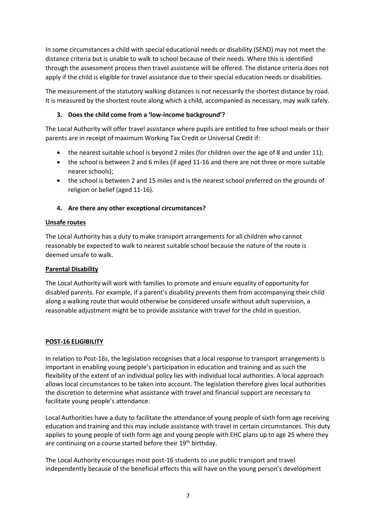In some circumstances a child with special educational needs or disability (SEND) may not meet the distance criteria but is unable to walk to school because of their needs. Where this is identified through the assessment process then travel assistance will be offered. The distance criteria does not apply if the child is eligible for travel assistance due to their special education needs or disabilities.

The measurement of the statutory walking distances is not necessarily the shortest distance by road. It is measured by the shortest route along which a child, accompanied as necessary, may walk safely.

# **3. Does the child come from a 'low-income background'?**

The Local Authority will offer travel assistance where pupils are entitled to free school meals or their parents are in receipt of maximum Working Tax Credit or Universal Credit if:

- the nearest suitable school is beyond 2 miles (for children over the age of 8 and under 11);
- the school is between 2 and 6 miles (if aged 11-16 and there are not three or more suitable nearer schools);
- the school is between 2 and 15 miles and is the nearest school preferred on the grounds of religion or belief (aged 11-16).

# **4. Are there any other exceptional circumstances?**

#### **Unsafe routes**

The Local Authority has a duty to make transport arrangements for all children who cannot reasonably be expected to walk to nearest suitable school because the nature of the route is deemed unsafe to walk.

## **Parental Disability**

The Local Authority will work with families to promote and ensure equality of opportunity for disabled parents. For example, if a parent's disability prevents them from accompanying their child along a walking route that would otherwise be considered unsafe without adult supervision, a reasonable adjustment might be to provide assistance with travel for the child in question.

#### **POST-16 ELIGIBILITY**

In relation to Post-16s, the legislation recognises that a local response to transport arrangements is important in enabling young people's participation in education and training and as such the flexibility of the extent of an individual policy lies with individual local authorities. A local approach allows local circumstances to be taken into account. The legislation therefore gives local authorities the discretion to determine what assistance with travel and financial support are necessary to facilitate young people's attendance.

Local Authorities have a duty to facilitate the attendance of young people of sixth form age receiving education and training and this may include assistance with travel in certain circumstances. This duty applies to young people of sixth form age and young people with EHC plans up to age 25 where they are continuing on a course started before their 19<sup>th</sup> birthday.

The Local Authority encourages most post-16 students to use public transport and travel independently because of the beneficial effects this will have on the young person's development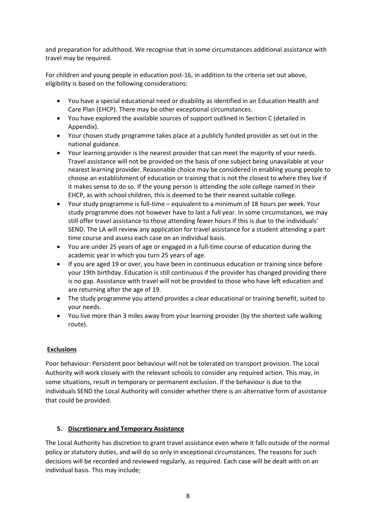and preparation for adulthood. We recognise that in some circumstances additional assistance with travel may be required.

For children and young people in education post-16, in addition to the criteria set out above, eligibility is based on the following considerations:

- You have a special educational need or disability as identified in an Education Health and Care Plan (EHCP). There may be other exceptional circumstances.
- You have explored the available sources of support outlined in Section C (detailed in Appendix).
- Your chosen study programme takes place at a publicly funded provider as set out in the national guidance.
- Your learning provider is the nearest provider that can meet the majority of your needs. Travel assistance will not be provided on the basis of one subject being unavailable at your nearest learning provider. Reasonable choice may be considered in enabling young people to choose an establishment of education or training that is not the closest to where they live if it makes sense to do so. If the young person is attending the sole college named in their EHCP, as with school children, this is deemed to be their nearest suitable college.
- Your study programme is full-time equivalent to a minimum of 18 hours per week. Your study programme does not however have to last a full year. In some circumstances, we may still offer travel assistance to those attending fewer hours if this is due to the individuals' SEND. The LA will review any application for travel assistance for a student attending a part time course and assess each case on an individual basis.
- You are under 25 years of age or engaged in a full-time course of education during the academic year in which you turn 25 years of age.
- If you are aged 19 or over, you have been in continuous education or training since before your 19th birthday. Education is still continuous if the provider has changed providing there is no gap. Assistance with travel will not be provided to those who have left education and are returning after the age of 19.
- The study programme you attend provides a clear educational or training benefit, suited to your needs.
- You live more than 3 miles away from your learning provider (by the shortest safe walking route).

# **Exclusions**

Poor behaviour: Persistent poor behaviour will not be tolerated on transport provision. The Local Authority will work closely with the relevant schools to consider any required action. This may, in some situations, result in temporary or permanent exclusion. If the behaviour is due to the individuals SEND the Local Authority will consider whether there is an alternative form of assistance that could be provided.

# **5. Discretionary and Temporary Assistance**

The Local Authority has discretion to grant travel assistance even where it falls outside of the normal policy or statutory duties, and will do so only in exceptional circumstances. The reasons for such decisions will be recorded and reviewed regularly, as required. Each case will be dealt with on an individual basis. This may include;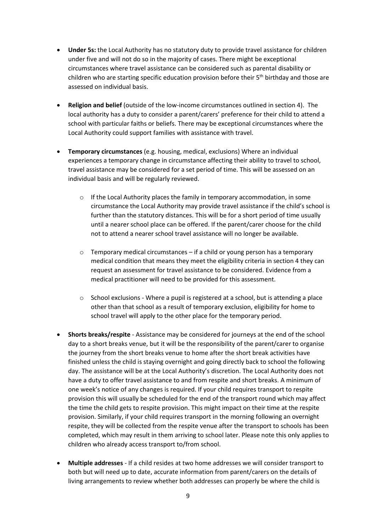- **Under 5s:** the Local Authority has no statutory duty to provide travel assistance for children under five and will not do so in the majority of cases. There might be exceptional circumstances where travel assistance can be considered such as parental disability or children who are starting specific education provision before their  $5<sup>th</sup>$  birthday and those are assessed on individual basis.
- **Religion and belief** (outside of the low-income circumstances outlined in section 4). The local authority has a duty to consider a parent/carers' preference for their child to attend a school with particular faiths or beliefs. There may be exceptional circumstances where the Local Authority could support families with assistance with travel.
- **Temporary circumstances** (e.g. housing, medical, exclusions) Where an individual experiences a temporary change in circumstance affecting their ability to travel to school, travel assistance may be considered for a set period of time. This will be assessed on an individual basis and will be regularly reviewed.
	- $\circ$  If the Local Authority places the family in temporary accommodation, in some circumstance the Local Authority may provide travel assistance if the child's school is further than the statutory distances. This will be for a short period of time usually until a nearer school place can be offered. If the parent/carer choose for the child not to attend a nearer school travel assistance will no longer be available.
	- $\circ$  Temporary medical circumstances if a child or young person has a temporary medical condition that means they meet the eligibility criteria in section 4 they can request an assessment for travel assistance to be considered. Evidence from a medical practitioner will need to be provided for this assessment.
	- $\circ$  School exclusions Where a pupil is registered at a school, but is attending a place other than that school as a result of temporary exclusion, eligibility for home to school travel will apply to the other place for the temporary period.
- **Shorts breaks/respite** Assistance may be considered for journeys at the end of the school day to a short breaks venue, but it will be the responsibility of the parent/carer to organise the journey from the short breaks venue to home after the short break activities have finished unless the child is staying overnight and going directly back to school the following day. The assistance will be at the Local Authority's discretion. The Local Authority does not have a duty to offer travel assistance to and from respite and short breaks. A minimum of one week's notice of any changes is required. If your child requires transport to respite provision this will usually be scheduled for the end of the transport round which may affect the time the child gets to respite provision. This might impact on their time at the respite provision. Similarly, if your child requires transport in the morning following an overnight respite, they will be collected from the respite venue after the transport to schools has been completed, which may result in them arriving to school later. Please note this only applies to children who already access transport to/from school.
- **Multiple addresses** If a child resides at two home addresses we will consider transport to both but will need up to date, accurate information from parent/carers on the details of living arrangements to review whether both addresses can properly be where the child is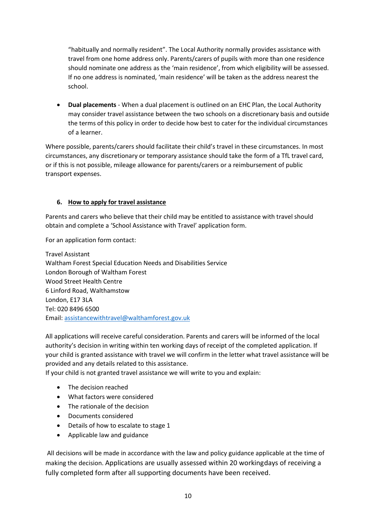"habitually and normally resident". The Local Authority normally provides assistance with travel from one home address only. Parents/carers of pupils with more than one residence should nominate one address as the 'main residence', from which eligibility will be assessed. If no one address is nominated, 'main residence' will be taken as the address nearest the school.

• **Dual placements** - When a dual placement is outlined on an EHC Plan, the Local Authority may consider travel assistance between the two schools on a discretionary basis and outside the terms of this policy in order to decide how best to cater for the individual circumstances of a learner.

Where possible, parents/carers should facilitate their child's travel in these circumstances. In most circumstances, any discretionary or temporary assistance should take the form of a TfL travel card, or if this is not possible, mileage allowance for parents/carers or a reimbursement of public transport expenses.

#### **6. How to apply for travel assistance**

Parents and carers who believe that their child may be entitled to assistance with travel should obtain and complete a 'School Assistance with Travel' application form.

For an application form contact:

Travel Assistant Waltham Forest Special Education Needs and Disabilities Service London Borough of Waltham Forest Wood Street Health Centre 6 Linford Road, Walthamstow London, E17 3LA Tel: 020 8496 6500 Email: [assistancewithtravel@walthamforest.gov.uk](mailto:assistancewithtravel@walthamforest.gov.uk)

All applications will receive careful consideration. Parents and carers will be informed of the local authority's decision in writing within ten working days of receipt of the completed application. If your child is granted assistance with travel we will confirm in the letter what travel assistance will be provided and any details related to this assistance.

If your child is not granted travel assistance we will write to you and explain:

- The decision reached
- What factors were considered
- The rationale of the decision
- Documents considered
- Details of how to escalate to stage 1
- Applicable law and guidance

All decisions will be made in accordance with the law and policy guidance applicable at the time of making the decision. Applications are usually assessed within 20 workingdays of receiving a fully completed form after all supporting documents have been received.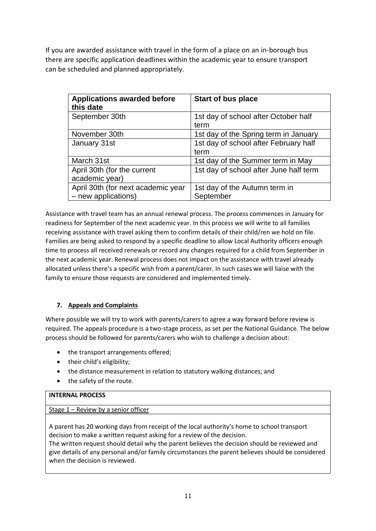If you are awarded assistance with travel in the form of a place on an in-borough bus there are specific application deadlines within the academic year to ensure transport can be scheduled and planned appropriately.

| <b>Applications awarded before</b><br>this date           | <b>Start of bus place</b>                     |
|-----------------------------------------------------------|-----------------------------------------------|
| September 30th                                            | 1st day of school after October half<br>term  |
| November 30th                                             | 1st day of the Spring term in January         |
| January 31st                                              | 1st day of school after February half<br>term |
| March 31st                                                | 1st day of the Summer term in May             |
| April 30th (for the current<br>academic year)             | 1st day of school after June half term        |
| April 30th (for next academic year<br>- new applications) | 1st day of the Autumn term in<br>September    |

Assistance with travel team has an annual renewal process. The process commences in January for readiness for September of the next academic year. In this process we will write to all families receiving assistance with travel asking them to confirm details of their child/ren we hold on file. Families are being asked to respond by a specific deadline to allow Local Authority officers enough time to process all received renewals or record any changes required for a child from September in the next academic year. Renewal process does not impact on the assistance with travel already allocated unless there's a specific wish from a parent/carer. In such cases we will liaise with the family to ensure those requests are considered and implemented timely.

# **7. Appeals and Complaints**

Where possible we will try to work with parents/carers to agree a way forward before review is required. The appeals procedure is a two-stage process, as set per the National Guidance. The below process should be followed for parents/carers who wish to challenge a decision about:

- the transport arrangements offered;
- their child's eligibility;
- the distance measurement in relation to statutory walking distances; and
- the safety of the route.

# **INTERNAL PROCESS**

Stage 1 – Review by a senior officer

A parent has 20 working days from receipt of the local authority's home to school transport decision to make a written request asking for a review of the decision.

The written request should detail why the parent believes the decision should be reviewed and give details of any personal and/or family circumstances the parent believes should be considered when the decision is reviewed.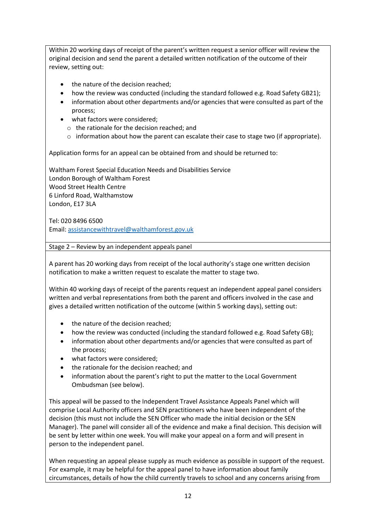Within 20 working days of receipt of the parent's written request a senior officer will review the original decision and send the parent a detailed written notification of the outcome of their review, setting out:

- the nature of the decision reached;
- how the review was conducted (including the standard followed e.g. Road Safety GB21);
- information about other departments and/or agencies that were consulted as part of the process;
- what factors were considered;
	- o the rationale for the decision reached; and
	- $\circ$  information about how the parent can escalate their case to stage two (if appropriate).

Application forms for an appeal can be obtained from and should be returned to:

Waltham Forest Special Education Needs and Disabilities Service London Borough of Waltham Forest Wood Street Health Centre 6 Linford Road, Walthamstow London, E17 3LA

Tel: 020 8496 6500 Email[: assistancewithtravel@walthamforest.gov.uk](mailto:assistancewithtravel@walthamforest.gov.uk)

Stage 2 – Review by an independent appeals panel

A parent has 20 working days from receipt of the local authority's stage one written decision notification to make a written request to escalate the matter to stage two.

Within 40 working days of receipt of the parents request an independent appeal panel considers written and verbal representations from both the parent and officers involved in the case and gives a detailed written notification of the outcome (within 5 working days), setting out:

- the nature of the decision reached;
- how the review was conducted (including the standard followed e.g. Road Safety GB);
- information about other departments and/or agencies that were consulted as part of the process;
- what factors were considered;
- the rationale for the decision reached; and
- information about the parent's right to put the matter to the Local Government Ombudsman (see below).

This appeal will be passed to the Independent Travel Assistance Appeals Panel which will comprise Local Authority officers and SEN practitioners who have been independent of the decision (this must not include the SEN Officer who made the initial decision or the SEN Manager). The panel will consider all of the evidence and make a final decision. This decision will be sent by letter within one week. You will make your appeal on a form and will present in person to the independent panel.

When requesting an appeal please supply as much evidence as possible in support of the request. For example, it may be helpful for the appeal panel to have information about family circumstances, details of how the child currently travels to school and any concerns arising from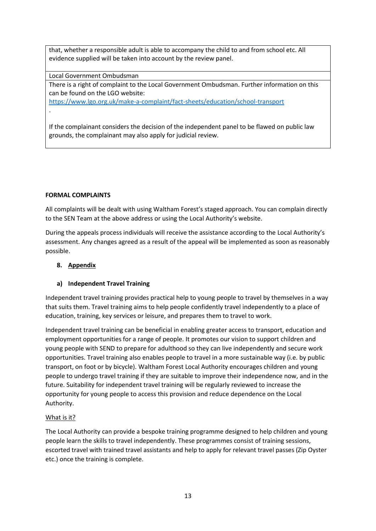that, whether a responsible adult is able to accompany the child to and from school etc. All evidence supplied will be taken into account by the review panel.

Local Government Ombudsman

There is a right of complaint to the Local Government Ombudsman. Further information on this can be found on the LGO website:

<https://www.lgo.org.uk/make-a-complaint/fact-sheets/education/school-transport>

If the complainant considers the decision of the independent panel to be flawed on public law grounds, the complainant may also apply for judicial review.

#### **FORMAL COMPLAINTS**

.

All complaints will be dealt with using Waltham Forest's staged approach. You can complain directly to the SEN Team at the above address or using the Local Authority's website.

During the appeals process individuals will receive the assistance according to the Local Authority's assessment. Any changes agreed as a result of the appeal will be implemented as soon as reasonably possible.

## **8. Appendix**

# **a) Independent Travel Training**

Independent travel training provides practical help to young people to travel by themselves in a way that suits them. Travel training aims to help people confidently travel independently to a place of education, training, key services or leisure, and prepares them to travel to work.

Independent travel training can be beneficial in enabling greater access to transport, education and employment opportunities for a range of people. It promotes our vision to support children and young people with SEND to prepare for adulthood so they can live independently and secure work opportunities. Travel training also enables people to travel in a more sustainable way (i.e. by public transport, on foot or by bicycle). Waltham Forest Local Authority encourages children and young people to undergo travel training if they are suitable to improve their independence now, and in the future. Suitability for independent travel training will be regularly reviewed to increase the opportunity for young people to access this provision and reduce dependence on the Local Authority.

# What is it?

The Local Authority can provide a bespoke training programme designed to help children and young people learn the skills to travel independently. These programmes consist of training sessions, escorted travel with trained travel assistants and help to apply for relevant travel passes (Zip Oyster etc.) once the training is complete.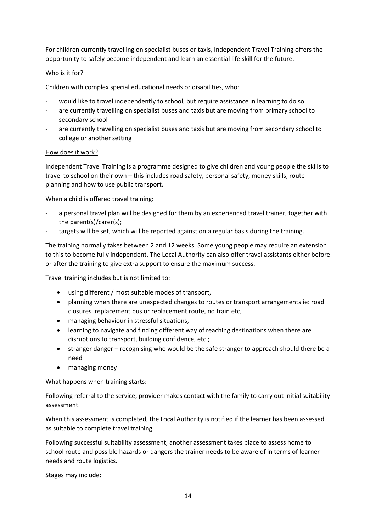For children currently travelling on specialist buses or taxis, Independent Travel Training offers the opportunity to safely become independent and learn an essential life skill for the future.

# Who is it for?

Children with complex special educational needs or disabilities, who:

- would like to travel independently to school, but require assistance in learning to do so
- are currently travelling on specialist buses and taxis but are moving from primary school to secondary school
- are currently travelling on specialist buses and taxis but are moving from secondary school to college or another setting

#### How does it work?

Independent Travel Training is a programme designed to give children and young people the skills to travel to school on their own – this includes road safety, personal safety, money skills, route planning and how to use public transport.

When a child is offered travel training:

- a personal travel plan will be designed for them by an experienced travel trainer, together with the parent(s)/carer(s);
- targets will be set, which will be reported against on a regular basis during the training.

The training normally takes between 2 and 12 weeks. Some young people may require an extension to this to become fully independent. The Local Authority can also offer travel assistants either before or after the training to give extra support to ensure the maximum success.

Travel training includes but is not limited to:

- using different / most suitable modes of transport,
- planning when there are unexpected changes to routes or transport arrangements ie: road closures, replacement bus or replacement route, no train etc,
- managing behaviour in stressful situations,
- learning to navigate and finding different way of reaching destinations when there are disruptions to transport, building confidence, etc.;
- stranger danger recognising who would be the safe stranger to approach should there be a need
- managing money

#### What happens when training starts:

Following referral to the service, provider makes contact with the family to carry out initial suitability assessment.

When this assessment is completed, the Local Authority is notified if the learner has been assessed as suitable to complete travel training

Following successful suitability assessment, another assessment takes place to assess home to school route and possible hazards or dangers the trainer needs to be aware of in terms of learner needs and route logistics.

Stages may include: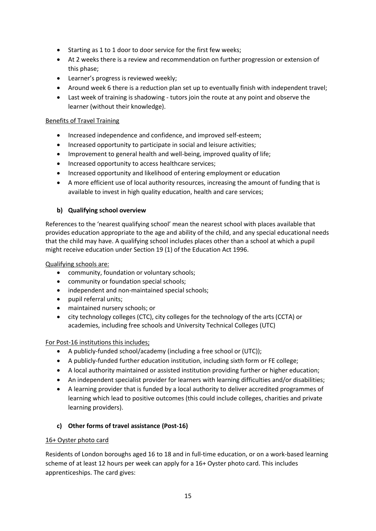- Starting as 1 to 1 door to door service for the first few weeks;
- At 2 weeks there is a review and recommendation on further progression or extension of this phase;
- Learner's progress is reviewed weekly;
- Around week 6 there is a reduction plan set up to eventually finish with independent travel;
- Last week of training is shadowing tutors join the route at any point and observe the learner (without their knowledge).

## Benefits of Travel Training

- Increased independence and confidence, and improved self-esteem;
- Increased opportunity to participate in social and leisure activities;
- Improvement to general health and well-being, improved quality of life;
- Increased opportunity to access healthcare services;
- Increased opportunity and likelihood of entering employment or education
- A more efficient use of local authority resources, increasing the amount of funding that is available to invest in high quality education, health and care services;

# **b) Qualifying school overview**

References to the 'nearest qualifying school' mean the nearest school with places available that provides education appropriate to the age and ability of the child, and any special educational needs that the child may have. A qualifying school includes places other than a school at which a pupil might receive education under Section 19 (1) of the Education Act 1996.

Qualifying schools are:

- community, foundation or voluntary schools;
- community or foundation special schools;
- independent and non-maintained special schools;
- pupil referral units;
- maintained nursery schools; or
- city technology colleges (CTC), city colleges for the technology of the arts (CCTA) or academies, including free schools and University Technical Colleges (UTC)

#### For Post-16 institutions this includes;

- A publicly-funded school/academy (including a free school or (UTC));
- A publicly-funded further education institution, including sixth form or FE college;
- A local authority maintained or assisted institution providing further or higher education;
- An independent specialist provider for learners with learning difficulties and/or disabilities;
- A learning provider that is funded by a local authority to deliver accredited programmes of learning which lead to positive outcomes (this could include colleges, charities and private learning providers).

# **c) Other forms of travel assistance (Post-16)**

# 16+ Oyster photo card

Residents of London boroughs aged 16 to 18 and in full-time education, or on a work-based learning scheme of at least 12 hours per week can apply for a 16+ Oyster photo card. This includes apprenticeships. The card gives: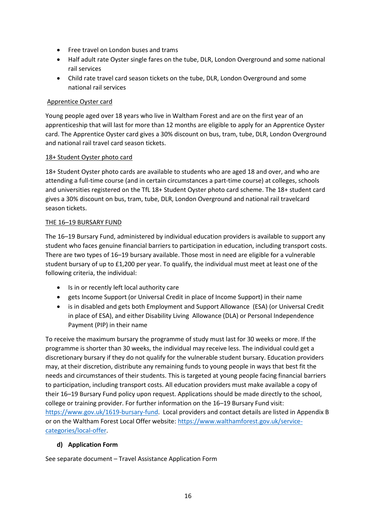- Free travel on London buses and trams
- Half adult rate Oyster single fares on the tube, DLR, London Overground and some national rail services
- Child rate travel card season tickets on the tube, DLR, London Overground and some national rail services

## Apprentice Oyster card

Young people aged over 18 years who live in Waltham Forest and are on the first year of an apprenticeship that will last for more than 12 months are eligible to apply for an Apprentice Oyster card. The Apprentice Oyster card gives a 30% discount on bus, tram, tube, DLR, London Overground and national rail travel card season tickets.

#### 18+ Student Oyster photo card

18+ Student Oyster photo cards are available to students who are aged 18 and over, and who are attending a full-time course (and in certain circumstances a part-time course) at colleges, schools and universities registered on the TfL 18+ Student Oyster photo card scheme. The 18+ student card gives a 30% discount on bus, tram, tube, DLR, London Overground and national rail travelcard season tickets.

#### THE 16–19 BURSARY FUND

The 16–19 Bursary Fund, administered by individual education providers is available to support any student who faces genuine financial barriers to participation in education, including transport costs. There are two types of 16–19 bursary available. Those most in need are eligible for a vulnerable student bursary of up to £1,200 per year. To qualify, the individual must meet at least one of the following criteria, the individual:

- Is in or recently left local authority care
- gets Income Support (or Universal Credit in place of Income Support) in their name
- is in disabled and gets both Employment and Support Allowance (ESA) (or Universal Credit in place of ESA), and either Disability Living Allowance (DLA) or Personal Independence Payment (PIP) in their name

To receive the maximum bursary the programme of study must last for 30 weeks or more. If the programme is shorter than 30 weeks, the individual may receive less. The individual could get a discretionary bursary if they do not qualify for the vulnerable student bursary. Education providers may, at their discretion, distribute any remaining funds to young people in ways that best fit the needs and circumstances of their students. This is targeted at young people facing financial barriers to participation, including transport costs. All education providers must make available a copy of their 16–19 Bursary Fund policy upon request. Applications should be made directly to the school, college or training provider. For further information on the 16–19 Bursary Fund visit: [https://www.gov.uk/1619-bursary-fund.](https://www.gov.uk/1619-bursary-fund) Local providers and contact details are listed in Appendix B or on the Waltham Forest Local Offer website: [https://www.walthamforest.gov.uk/service](https://www.walthamforest.gov.uk/service-categories/local-offer)[categories/local-offer.](https://www.walthamforest.gov.uk/service-categories/local-offer)

# **d) Application Form**

See separate document – Travel Assistance Application Form